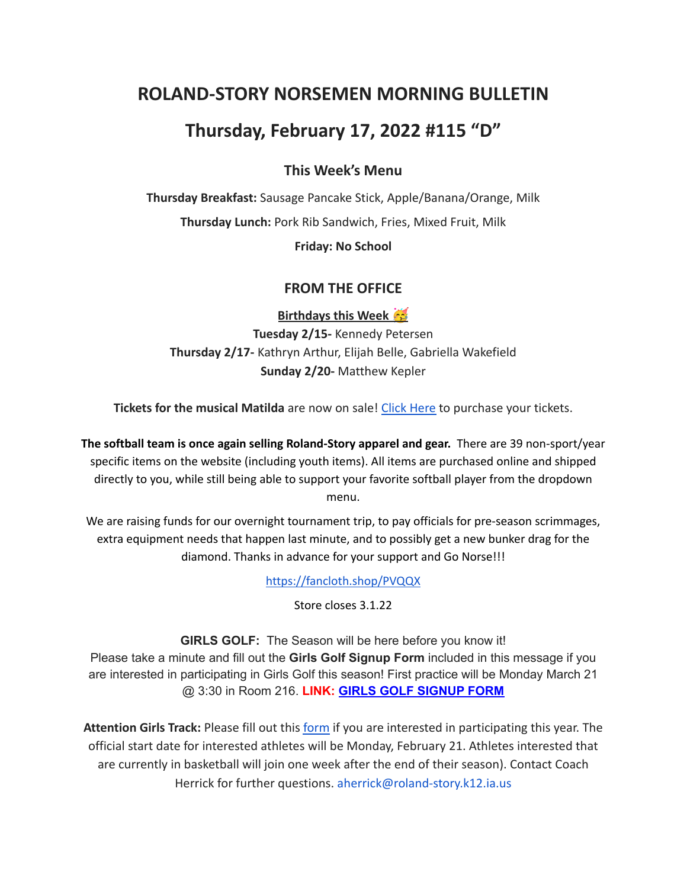# **ROLAND-STORY NORSEMEN MORNING BULLETIN**

# **Thursday, February 17, 2022 #115 "D"**

### **This Week's Menu**

**Thursday Breakfast:** Sausage Pancake Stick, Apple/Banana/Orange, Milk **Thursday Lunch:** Pork Rib Sandwich, Fries, Mixed Fruit, Milk

**Friday: No School**

#### **FROM THE OFFICE**

**Birthdays this Week Tuesday 2/15-** Kennedy Petersen **Thursday 2/17-** Kathryn Arthur, Elijah Belle, Gabriella Wakefield **Sunday 2/20-** Matthew Kepler

**Tickets for the musical Matilda** are now on sale! Click [Here](https://events.ticketspicket.com/agency/a61f75f7-997a-4241-b0ab-0eae5600323f) to purchase your tickets.

**The softball team is once again selling Roland-Story apparel and gear.** There are 39 non-sport/year specific items on the website (including youth items). All items are purchased online and shipped directly to you, while still being able to support your favorite softball player from the dropdown menu.

We are raising funds for our overnight tournament trip, to pay officials for pre-season scrimmages, extra equipment needs that happen last minute, and to possibly get a new bunker drag for the diamond. Thanks in advance for your support and Go Norse!!!

<https://fancloth.shop/PVQQX>

Store closes 3.1.22

**GIRLS GOLF:** The Season will be here before you know it! Please take a minute and fill out the **Girls Golf Signup Form** included in this message if you are interested in participating in Girls Golf this season! First practice will be Monday March 21 @ 3:30 in Room 216. **LINK: GIRLS GOLF [SIGNUP](https://forms.gle/UVm68USy2mkrWNuQ7) FORM**

**Attention Girls Track:** Please fill out this [form](https://forms.gle/DP81ofVAkQ73dqcBA) if you are interested in participating this year. The official start date for interested athletes will be Monday, February 21. Athletes interested that are currently in basketball will join one week after the end of their season). Contact Coach Herrick for further questions. aherrick@roland-story.k12.ia.us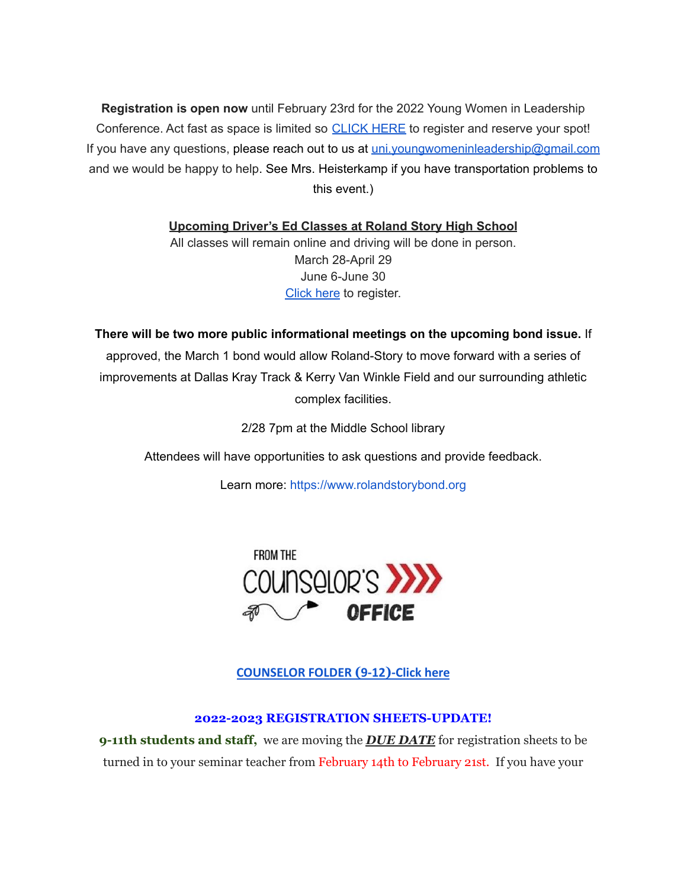**Registration is open now** until February 23rd for the 2022 Young Women in Leadership Conference. Act fast as space is limited so [CLICK](https://event.formdash.org/2022/ywil/) HERE to register and reserve your spot! If you have any questions, please reach out to us at uni.youngwomeninleadership@gmail.com and we would be happy to help. See Mrs. Heisterkamp if you have transportation problems to this event.)

**Upcoming Driver's Ed Classes at Roland Story High School**

All classes will remain online and driving will be done in person. March 28-April 29 June 6-June 30 [Click](http://streetsmartsdriversed.com/) here to register.

**There will be two more public informational meetings on the upcoming bond issue.** If approved, the March 1 bond would allow Roland-Story to move forward with a series of improvements at Dallas Kray Track & Kerry Van Winkle Field and our surrounding athletic complex facilities.

2/28 7pm at the Middle School library

Attendees will have opportunities to ask questions and provide feedback.

Learn more: [https://www.rolandstorybond.org](https://www.rolandstorybond.org/?fbclid=IwAR3AJHhy8S8KvQsof-Z44UTrIBXDkOZFSdMyUXMovrg0bH3FkvkTprNkFuM)



**[COUNSELOR FOLDER](https://docs.google.com/document/d/1vmwczNPbDzXe9vFaG5LJMQ7NYDv-i4oQJHybqA65TUc/edit?usp=sharing) (9-12)-Click here**

#### **2022-2023 REGISTRATION SHEETS-UPDATE!**

**9-11th students and staff,** we are moving the *DUE DATE* for registration sheets to be turned in to your seminar teacher from February 14th to February 21st. If you have your